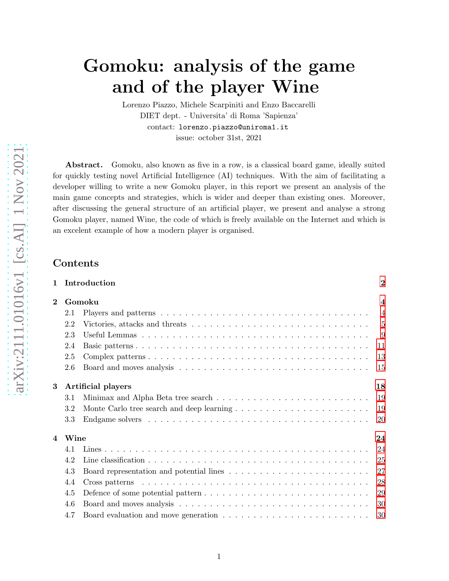# Gomoku: analysis of the game and of the player Wine

Lorenzo Piazzo, Michele Scarpiniti and Enzo Baccarelli DIET dept. - Universita' di Roma 'Sapienza' contact: lorenzo.piazzo@uniroma1.it issue: october 31st, 2021

Abstract. Gomoku, also known as five in a row, is a classical board game, ideally suited for quickly testing novel Artificial Intelligence (AI) techniques. With the aim of facilitating a developer willing to write a new Gomoku player, in this report we present an analysis of the main game concepts and strategies, which is wider and deeper than existing ones. Moreover, after discussing the general structure of an artificial player, we present and analyse a strong Gomoku player, named Wine, the code of which is freely available on the Internet and which is an excelent example of how a modern player is organised.

## Contents

| $\mathbf{1}$ |      | Introduction             | $\bf{2}$       |  |  |  |  |  |  |  |
|--------------|------|--------------------------|----------------|--|--|--|--|--|--|--|
| $\bf{2}$     |      | Gomoku                   |                |  |  |  |  |  |  |  |
|              | 2.1  |                          | $\overline{4}$ |  |  |  |  |  |  |  |
|              | 2.2  |                          | 5              |  |  |  |  |  |  |  |
|              | 2.3  |                          | -9             |  |  |  |  |  |  |  |
|              | 2.4  |                          | 11             |  |  |  |  |  |  |  |
|              | 2.5  |                          | 13             |  |  |  |  |  |  |  |
|              | 2.6  |                          | 15             |  |  |  |  |  |  |  |
| 3            |      | Artificial players<br>18 |                |  |  |  |  |  |  |  |
|              | 3.1  |                          | 19             |  |  |  |  |  |  |  |
|              | 3.2  |                          | 19             |  |  |  |  |  |  |  |
|              | 3.3  |                          | 20             |  |  |  |  |  |  |  |
| 4            | Wine |                          | 24             |  |  |  |  |  |  |  |
|              | 4.1  |                          | 24             |  |  |  |  |  |  |  |
|              | 4.2  |                          | 25             |  |  |  |  |  |  |  |
|              | 4.3  |                          | 27             |  |  |  |  |  |  |  |
|              | 4.4  |                          | 28             |  |  |  |  |  |  |  |
|              | 4.5  |                          | 29             |  |  |  |  |  |  |  |
|              | 4.6  |                          | 30             |  |  |  |  |  |  |  |
|              | 4.7  |                          | 30             |  |  |  |  |  |  |  |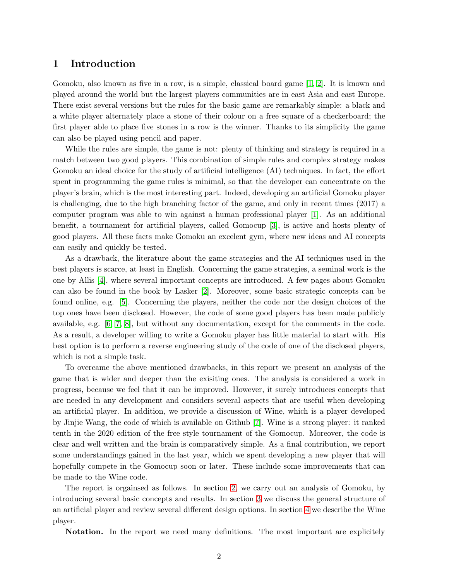## <span id="page-1-0"></span>1 Introduction

Gomoku, also known as five in a row, is a simple, classical board game [\[1,](#page-31-0) [2\]](#page-31-1). It is known and played around the world but the largest players communities are in east Asia and east Europe. There exist several versions but the rules for the basic game are remarkably simple: a black and a white player alternately place a stone of their colour on a free square of a checkerboard; the first player able to place five stones in a row is the winner. Thanks to its simplicity the game can also be played using pencil and paper.

While the rules are simple, the game is not: plenty of thinking and strategy is required in a match between two good players. This combination of simple rules and complex strategy makes Gomoku an ideal choice for the study of artificial intelligence (AI) techniques. In fact, the effort spent in programming the game rules is minimal, so that the developer can concentrate on the player's brain, which is the most interesting part. Indeed, developing an artificial Gomoku player is challenging, due to the high branching factor of the game, and only in recent times (2017) a computer program was able to win against a human professional player [\[1\]](#page-31-0). As an additional benefit, a tournament for artificial players, called Gomocup [\[3\]](#page-31-2), is active and hosts plenty of good players. All these facts make Gomoku an excelent gym, where new ideas and AI concepts can easily and quickly be tested.

As a drawback, the literature about the game strategies and the AI techniques used in the best players is scarce, at least in English. Concerning the game strategies, a seminal work is the one by Allis [\[4\]](#page-31-3), where several important concepts are introduced. A few pages about Gomoku can also be found in the book by Lasker [\[2\]](#page-31-1). Moreover, some basic strategic concepts can be found online, e.g. [\[5\]](#page-31-4). Concerning the players, neither the code nor the design choices of the top ones have been disclosed. However, the code of some good players has been made publicly available, e.g. [\[6,](#page-31-5) [7,](#page-31-6) [8\]](#page-31-7), but without any documentation, except for the comments in the code. As a result, a developer willing to write a Gomoku player has little material to start with. His best option is to perform a reverse engineering study of the code of one of the disclosed players, which is not a simple task.

To overcame the above mentioned drawbacks, in this report we present an analysis of the game that is wider and deeper than the exisiting ones. The analysis is considered a work in progress, because we feel that it can be improved. However, it surely introduces concepts that are needed in any development and considers several aspects that are useful when developing an artificial player. In addition, we provide a discussion of Wine, which is a player developed by Jinjie Wang, the code of which is available on Github [\[7\]](#page-31-6). Wine is a strong player: it ranked tenth in the 2020 edition of the free style tournament of the Gomocup. Moreover, the code is clear and well written and the brain is comparatively simple. As a final contribution, we report some understandings gained in the last year, which we spent developing a new player that will hopefully compete in the Gomocup soon or later. These include some improvements that can be made to the Wine code.

The report is orgainsed as follows. In section [2,](#page-3-0) we carry out an analysis of Gomoku, by introducing several basic concepts and results. In section [3](#page-17-0) we discuss the general structure of an artificial player and review several different design options. In section [4](#page-23-0) we describe the Wine player.

Notation. In the report we need many definitions. The most important are explicitely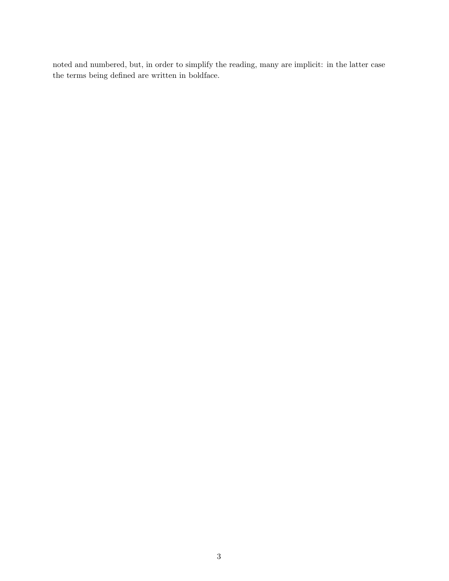noted and numbered, but, in order to simplify the reading, many are implicit: in the latter case the terms being defined are written in boldface.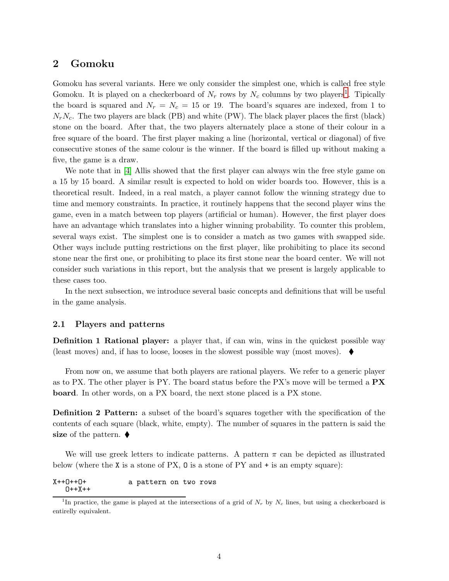## <span id="page-3-0"></span>2 Gomoku

Gomoku has several variants. Here we only consider the simplest one, which is called free style Gomoku. It is played on a checkerboard of  $N_r$  rows by  $N_c$  columns by two players<sup>[1](#page-3-2)</sup>. Tipically the board is squared and  $N_r = N_c = 15$  or 19. The board's squares are indexed, from 1 to  $N_rN_c$ . The two players are black (PB) and white (PW). The black player places the first (black) stone on the board. After that, the two players alternately place a stone of their colour in a free square of the board. The first player making a line (horizontal, vertical or diagonal) of five consecutive stones of the same colour is the winner. If the board is filled up without making a five, the game is a draw.

We note that in [\[4\]](#page-31-3) Allis showed that the first player can always win the free style game on a 15 by 15 board. A similar result is expected to hold on wider boards too. However, this is a theoretical result. Indeed, in a real match, a player cannot follow the winning strategy due to time and memory constraints. In practice, it routinely happens that the second player wins the game, even in a match between top players (artificial or human). However, the first player does have an advantage which translates into a higher winning probability. To counter this problem, several ways exist. The simplest one is to consider a match as two games with swapped side. Other ways include putting restrictions on the first player, like prohibiting to place its second stone near the first one, or prohibiting to place its first stone near the board center. We will not consider such variations in this report, but the analysis that we present is largely applicable to these cases too.

In the next subsection, we introduce several basic concepts and definitions that will be useful in the game analysis.

#### <span id="page-3-1"></span>2.1 Players and patterns

**Definition 1 Rational player:** a player that, if can win, wins in the quickest possible way (least moves) and, if has to loose, looses in the slowest possible way (most moves).  $\blacklozenge$ 

From now on, we assume that both players are rational players. We refer to a generic player as to PX. The other player is PY. The board status before the PX's move will be termed a  $\mathbf{PX}$ board. In other words, on a PX board, the next stone placed is a PX stone.

Definition 2 Pattern: a subset of the board's squares together with the specification of the contents of each square (black, white, empty). The number of squares in the pattern is said the size of the pattern.  $\blacklozenge$ 

We will use greek letters to indicate patterns. A pattern  $\pi$  can be depicted as illustrated below (where the X is a stone of PX,  $\sigma$  is a stone of PY and  $+$  is an empty square):

X++O++O+ a pattern on two rows O++X++

<span id="page-3-2"></span><sup>&</sup>lt;sup>1</sup>In practice, the game is played at the intersections of a grid of  $N_r$  by  $N_c$  lines, but using a checkerboard is entirelly equivalent.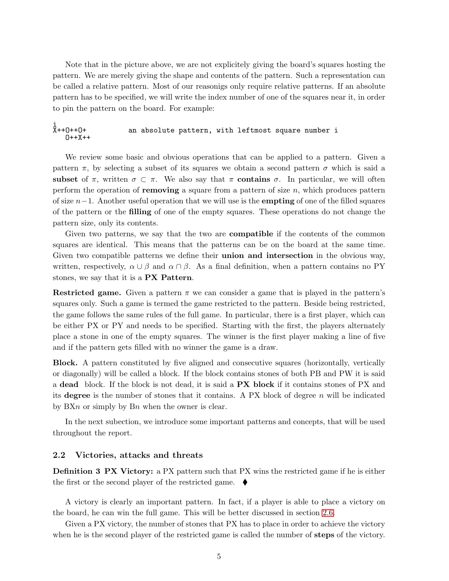Note that in the picture above, we are not explicitely giving the board's squares hosting the pattern. We are merely giving the shape and contents of the pattern. Such a representation can be called a relative pattern. Most of our reasonigs only require relative patterns. If an absolute pattern has to be specified, we will write the index number of one of the squares near it, in order to pin the pattern on the board. For example:

#### 1<br>X++0++0+ an absolute pattern, with leftmost square number i O++X++

We review some basic and obvious operations that can be applied to a pattern. Given a pattern  $\pi$ , by selecting a subset of its squares we obtain a second pattern  $\sigma$  which is said a subset of  $\pi$ , written  $\sigma \subset \pi$ . We also say that  $\pi$  contains  $\sigma$ . In particular, we will often perform the operation of **removing** a square from a pattern of size  $n$ , which produces pattern of size  $n-1$ . Another useful operation that we will use is the **empting** of one of the filled squares of the pattern or the filling of one of the empty squares. These operations do not change the pattern size, only its contents.

Given two patterns, we say that the two are **compatible** if the contents of the common squares are identical. This means that the patterns can be on the board at the same time. Given two compatible patterns we define their **union and intersection** in the obvious way, written, respectively,  $\alpha \cup \beta$  and  $\alpha \cap \beta$ . As a final definition, when a pattern contains no PY stones, we say that it is a PX Pattern.

Restricted game. Given a pattern  $\pi$  we can consider a game that is played in the pattern's squares only. Such a game is termed the game restricted to the pattern. Beside being restricted, the game follows the same rules of the full game. In particular, there is a first player, which can be either PX or PY and needs to be specified. Starting with the first, the players alternately place a stone in one of the empty squares. The winner is the first player making a line of five and if the pattern gets filled with no winner the game is a draw.

Block. A pattern constituted by five aligned and consecutive squares (horizontally, vertically or diagonally) will be called a block. If the block contains stones of both PB and PW it is said a dead block. If the block is not dead, it is said a PX block if it contains stones of PX and its degree is the number of stones that it contains. A PX block of degree  $n$  will be indicated by  $BXn$  or simply by  $Bn$  when the owner is clear.

In the next subection, we introduce some important patterns and concepts, that will be used throughout the report.

#### <span id="page-4-0"></span>2.2 Victories, attacks and threats

Definition 3 PX Victory: a PX pattern such that PX wins the restricted game if he is either the first or the second player of the restricted game.  $\blacklozenge$ 

A victory is clearly an important pattern. In fact, if a player is able to place a victory on the board, he can win the full game. This will be better discussed in section [2.6.](#page-14-0)

Given a PX victory, the number of stones that PX has to place in order to achieve the victory when he is the second player of the restricted game is called the number of **steps** of the victory.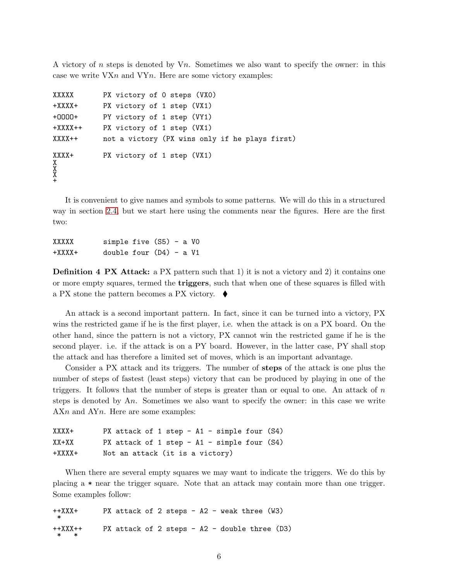A victory of n steps is denoted by  $V_n$ . Sometimes we also want to specify the owner: in this case we write  $VXn$  and  $VYn$ . Here are some victory examples:

```
XXXXX PX victory of 0 steps (VX0)
+XXXX+ PX victory of 1 step (VX1)
+OOOO+ PY victory of 1 step (VY1)
+XXXX++ PX victory of 1 step (VX1)
XXXX++ not a victory (PX wins only if he plays first)
XXXX+ PX victory of 1 step (VX1)
X
X
X
+
```
It is convenient to give names and symbols to some patterns. We will do this in a structured way in section [2.4,](#page-10-0) but we start here using the comments near the figures. Here are the first two:

| XXXXX    | simple five $(S5) - a V0$ |  |  |  |
|----------|---------------------------|--|--|--|
| $+XXXX+$ | double four $(D4)$ - a V1 |  |  |  |

<span id="page-5-0"></span>**Definition 4 PX Attack:** a PX pattern such that 1) it is not a victory and 2) it contains one or more empty squares, termed the triggers, such that when one of these squares is filled with a PX stone the pattern becomes a PX victory.  $\blacklozenge$ 

An attack is a second important pattern. In fact, since it can be turned into a victory, PX wins the restricted game if he is the first player, i.e. when the attack is on a PX board. On the other hand, since the pattern is not a victory, PX cannot win the restricted game if he is the second player. i.e. if the attack is on a PY board. However, in the latter case, PY shall stop the attack and has therefore a limited set of moves, which is an important advantage.

Consider a PX attack and its triggers. The number of steps of the attack is one plus the number of steps of fastest (least steps) victory that can be produced by playing in one of the triggers. It follows that the number of steps is greater than or equal to one. An attack of  $n$ steps is denoted by An. Sometimes we also want to specify the owner: in this case we write  $AXn$  and  $AYn$ . Here are some examples:

```
XXXX+ PX attack of 1 step - A1 - simple four (S4)
XX+XX PX attack of 1 step - A1 - simple four (S4)+XXXX+ Not an attack (it is a victory)
```
When there are several empty squares we may want to indicate the triggers. We do this by placing a \* near the trigger square. Note that an attack may contain more than one trigger. Some examples follow:

| $++XXX+$  | PX attack of 2 steps - $A2$ - weak three (W3)   |  |  |  |  |  |
|-----------|-------------------------------------------------|--|--|--|--|--|
| $++XXX++$ | PX attack of 2 steps - $A2$ - double three (D3) |  |  |  |  |  |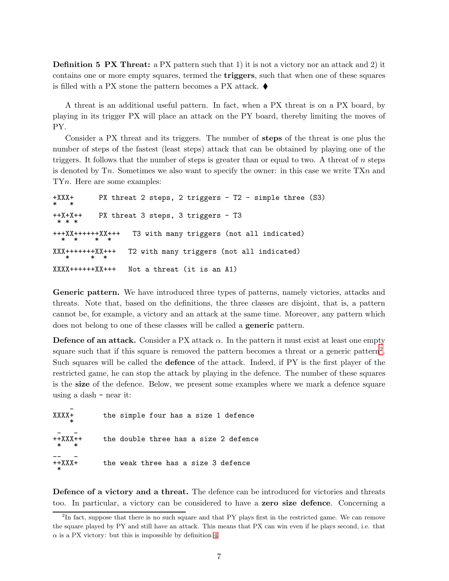Definition 5 PX Threat: a PX pattern such that 1) it is not a victory nor an attack and 2) it contains one or more empty squares, termed the triggers, such that when one of these squares is filled with a PX stone the pattern becomes a PX attack.  $\blacklozenge$ 

A threat is an additional useful pattern. In fact, when a PX threat is on a PX board, by playing in its trigger PX will place an attack on the PY board, thereby limiting the moves of PY.

Consider a PX threat and its triggers. The number of steps of the threat is one plus the number of steps of the fastest (least steps) attack that can be obtained by playing one of the triggers. It follows that the number of steps is greater than or equal to two. A threat of n steps is denoted by Tn. Sometimes we also want to specify the owner: in this case we write  $T X n$  and TYn. Here are some examples:

```
+XXX+ PX threat 2 steps, 2 triggers - T2 - simple three (S3)
* *
++X+X++ PX threat 3 steps, 3 triggers - T3
 * * *
+++XX++++++XX+++ T3 with many triggers (not all indicated)
 * * * *
XXX+++++++XX+++ T2 with many triggers (not all indicated)
        * * *
XXXX++++++XX+++ Not a threat (it is an A1)
```
Generic pattern. We have introduced three types of patterns, namely victories, attacks and threats. Note that, based on the definitions, the three classes are disjoint, that is, a pattern cannot be, for example, a victory and an attack at the same time. Moreover, any pattern which does not belong to one of these classes will be called a generic pattern.

**Defence of an attack.** Consider a PX attack  $\alpha$ . In the pattern it must exist at least one empty square such that if this square is removed the pattern becomes a threat or a generic pattern<sup>[2](#page-6-0)</sup>. Such squares will be called the **defence** of the attack. Indeed, if PY is the first player of the restricted game, he can stop the attack by playing in the defence. The number of these squares is the size of the defence. Below, we present some examples where we mark a defence square using a dash - near it:

| xxxx+                  | the simple four has a size 1 defence  |
|------------------------|---------------------------------------|
| ++XXX++<br>$\ast$<br>* | the double three has a size 2 defence |
| $++XXX+$<br>∗          | the weak three has a size 3 defence   |

Defence of a victory and a threat. The defence can be introduced for victories and threats too. In particular, a victory can be considered to have a zero size defence. Concerning a

<span id="page-6-0"></span><sup>&</sup>lt;sup>2</sup>In fact, suppose that there is no such square and that PY plays first in the restricted game. We can remove the square played by PY and still have an attack. This means that PX can win even if he plays second, i.e. that  $\alpha$  is a PX victory: but this is impossible by definition [4.](#page-5-0)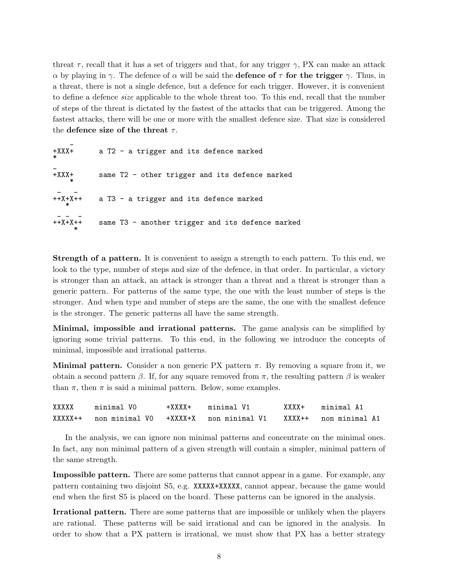threat  $\tau$ , recall that it has a set of triggers and that, for any trigger  $\gamma$ , PX can make an attack α by playing in γ. The defence of α will be said the **defence of**  $\tau$  **for the trigger** γ. Thus, in a threat, there is not a single defence, but a defence for each trigger. However, it is convenient to define a defence size applicable to the whole threat too. To this end, recall that the number of steps of the threat is dictated by the fastest of the attacks that can be triggered. Among the fastest attacks, there will be one or more with the smallest defence size. That size is considered the defence size of the threat  $\tau$ .

| $+XXX+$<br>$\ast$ | a T2 - a trigger and its defence marked          |
|-------------------|--------------------------------------------------|
| $+XXX+$<br>$\ast$ | same T2 - other trigger and its defence marked   |
| $+ +X+X++$        | a T3 - a trigger and its defence marked          |
| $+X+X$            | same T3 - another trigger and its defence marked |

Strength of a pattern. It is convenient to assign a strength to each pattern. To this end, we look to the type, number of steps and size of the defence, in that order. In particular, a victory is stronger than an attack, an attack is stronger than a threat and a threat is stronger than a generic pattern. For patterns of the same type, the one with the least number of steps is the stronger. And when type and number of steps are the same, the one with the smallest defence is the stronger. The generic patterns all have the same strength.

Minimal, impossible and irrational patterns. The game analysis can be simplified by ignoring some trivial patterns. To this end, in the following we introduce the concepts of minimal, impossible and irrational patterns.

Minimal pattern. Consider a non generic PX pattern  $\pi$ . By removing a square from it, we obtain a second pattern  $\beta$ . If, for any square removed from  $\pi$ , the resulting pattern  $\beta$  is weaker than  $\pi$ , then  $\pi$  is said a minimal pattern. Below, some examples.

| XXXXX | minimal VO | $+XXXX+$ | minimal V1                                                          | XXXX+     minimal A1 |
|-------|------------|----------|---------------------------------------------------------------------|----------------------|
|       |            |          | XXXXX++ non minimal V0 +XXXX+X non minimal V1 XXXX++ non minimal A1 |                      |

In the analysis, we can ignore non minimal patterns and concentrate on the minimal ones. In fact, any non minimal pattern of a given strength will contain a simpler, minimal pattern of the same strength.

Impossible pattern. There are some patterns that cannot appear in a game. For example, any pattern containing two disjoint S5, e.g. XXXXX+XXXXX, cannot appear, because the game would end when the first S5 is placed on the board. These patterns can be ignored in the analysis.

Irrational pattern. There are some patterns that are impossible or unlikely when the players are rational. These patterns will be said irrational and can be ignored in the analysis. In order to show that a PX pattern is irrational, we must show that PX has a better strategy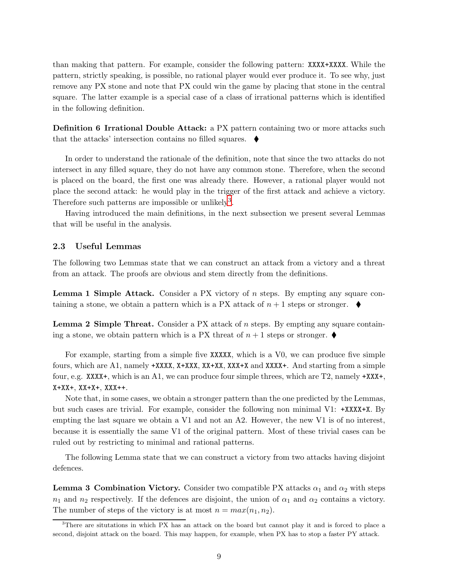than making that pattern. For example, consider the following pattern: XXXX+XXXX. While the pattern, strictly speaking, is possible, no rational player would ever produce it. To see why, just remove any PX stone and note that PX could win the game by placing that stone in the central square. The latter example is a special case of a class of irrational patterns which is identified in the following definition.

**Definition 6 Irrational Double Attack:** a PX pattern containing two or more attacks such that the attacks' intersection contains no filled squares.

In order to understand the rationale of the definition, note that since the two attacks do not intersect in any filled square, they do not have any common stone. Therefore, when the second is placed on the board, the first one was already there. However, a rational player would not place the second attack: he would play in the trigger of the first attack and achieve a victory. Therefore such patterns are impossible or unlikely<sup>[3](#page-8-1)</sup>.

Having introduced the main definitions, in the next subsection we present several Lemmas that will be useful in the analysis.

#### <span id="page-8-0"></span>2.3 Useful Lemmas

The following two Lemmas state that we can construct an attack from a victory and a threat from an attack. The proofs are obvious and stem directly from the definitions.

Lemma 1 Simple Attack. Consider a PX victory of *n* steps. By empting any square containing a stone, we obtain a pattern which is a PX attack of  $n + 1$  steps or stronger.  $\blacklozenge$ 

**Lemma 2 Simple Threat.** Consider a PX attack of  $n$  steps. By empting any square containing a stone, we obtain pattern which is a PX threat of  $n+1$  steps or stronger.

For example, starting from a simple five XXXXX, which is a V0, we can produce five simple fours, which are A1, namely +XXXX, X+XXX, XX+XX, XXX+X and XXXX+. And starting from a simple four, e.g. XXXX+, which is an A1, we can produce four simple threes, which are T2, namely +XXX+, X+XX+, XX+X+, XXX++.

Note that, in some cases, we obtain a stronger pattern than the one predicted by the Lemmas, but such cases are trivial. For example, consider the following non minimal V1: +XXXX+X. By empting the last square we obtain a V1 and not an A2. However, the new V1 is of no interest, because it is essentially the same V1 of the original pattern. Most of these trivial cases can be ruled out by restricting to minimal and rational patterns.

<span id="page-8-2"></span>The following Lemma state that we can construct a victory from two attacks having disjoint defences.

**Lemma 3 Combination Victory.** Consider two compatible PX attacks  $\alpha_1$  and  $\alpha_2$  with steps  $n_1$  and  $n_2$  respectively. If the defences are disjoint, the union of  $\alpha_1$  and  $\alpha_2$  contains a victory. The number of steps of the victory is at most  $n = max(n_1, n_2)$ .

<span id="page-8-1"></span><sup>3</sup>There are situtations in which PX has an attack on the board but cannot play it and is forced to place a second, disjoint attack on the board. This may happen, for example, when PX has to stop a faster PY attack.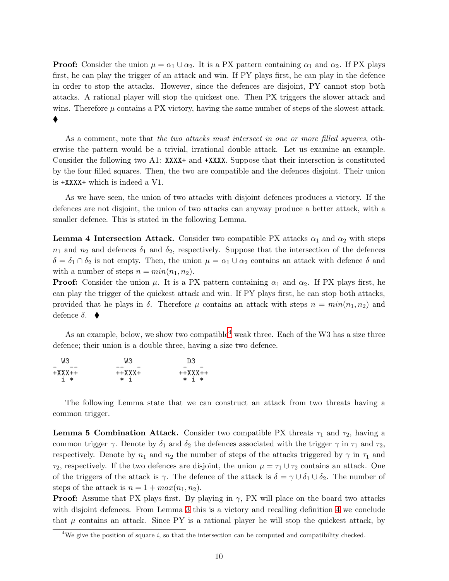**Proof:** Consider the union  $\mu = \alpha_1 \cup \alpha_2$ . It is a PX pattern containing  $\alpha_1$  and  $\alpha_2$ . If PX plays first, he can play the trigger of an attack and win. If PY plays first, he can play in the defence in order to stop the attacks. However, since the defences are disjoint, PY cannot stop both attacks. A rational player will stop the quickest one. Then PX triggers the slower attack and wins. Therefore  $\mu$  contains a PX victory, having the same number of steps of the slowest attack. ♦

As a comment, note that the two attacks must intersect in one or more filled squares, otherwise the pattern would be a trivial, irrational double attack. Let us examine an example. Consider the following two A1: XXXX+ and  $+$ XXXX. Suppose that their intersction is constituted by the four filled squares. Then, the two are compatible and the defences disjoint. Their union is +XXXX+ which is indeed a V1.

As we have seen, the union of two attacks with disjoint defences produces a victory. If the defences are not disjoint, the union of two attacks can anyway produce a better attack, with a smaller defence. This is stated in the following Lemma.

**Lemma 4 Intersection Attack.** Consider two compatible PX attacks  $\alpha_1$  and  $\alpha_2$  with steps  $n_1$  and  $n_2$  and defences  $\delta_1$  and  $\delta_2$ , respectively. Suppose that the intersection of the defences  $\delta = \delta_1 \cap \delta_2$  is not empty. Then, the union  $\mu = \alpha_1 \cup \alpha_2$  contains an attack with defence  $\delta$  and with a number of steps  $n = min(n_1, n_2)$ .

**Proof:** Consider the union  $\mu$ . It is a PX pattern containing  $\alpha_1$  and  $\alpha_2$ . If PX plays first, he can play the trigger of the quickest attack and win. If PY plays first, he can stop both attacks, provided that he plays in  $\delta$ . Therefore  $\mu$  contains an attack with steps  $n = min(n_1, n_2)$  and defence  $\delta$ .  $\blacklozenge$ 

As an example, below, we show two compatible weak three. Each of the W3 has a size three defence; their union is a double three, having a size two defence.

| WЗ       | WЗ       | D3        |
|----------|----------|-----------|
| $+XXX++$ | $++XXX+$ | $++XXX++$ |
| i ∗      | * i      | $* i *$   |

The following Lemma state that we can construct an attack from two threats having a common trigger.

**Lemma 5 Combination Attack.** Consider two compatible PX threats  $\tau_1$  and  $\tau_2$ , having a common trigger  $\gamma$ . Denote by  $\delta_1$  and  $\delta_2$  the defences associated with the trigger  $\gamma$  in  $\tau_1$  and  $\tau_2$ , respectively. Denote by  $n_1$  and  $n_2$  the number of steps of the attacks triggered by  $\gamma$  in  $\tau_1$  and  $\tau_2$ , respectively. If the two defences are disjoint, the union  $\mu = \tau_1 \cup \tau_2$  contains an attack. One of the triggers of the attack is  $\gamma$ . The defence of the attack is  $\delta = \gamma \cup \delta_1 \cup \delta_2$ . The number of steps of the attack is  $n = 1 + max(n_1, n_2)$ .

**Proof:** Assume that PX plays first. By playing in  $\gamma$ , PX will place on the board two attacks with disjoint defences. From Lemma [3](#page-8-2) this is a victory and recalling definition [4](#page-5-0) we conclude that  $\mu$  contains an attack. Since PY is a rational player he will stop the quickest attack, by

<span id="page-9-0"></span><sup>&</sup>lt;sup>4</sup>We give the position of square  $i$ , so that the intersection can be computed and compatibility checked.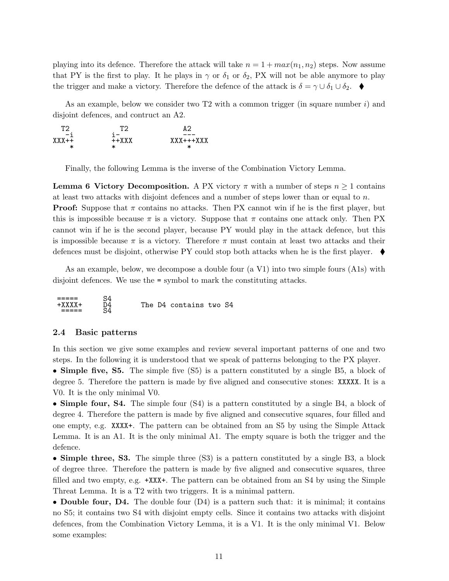playing into its defence. Therefore the attack will take  $n = 1 + max(n_1, n_2)$  steps. Now assume that PY is the first to play. It he plays in  $\gamma$  or  $\delta_1$  or  $\delta_2$ , PX will not be able anymore to play the trigger and make a victory. Therefore the defence of the attack is  $\delta = \gamma \cup \delta_1 \cup \delta_2$ .

As an example, below we consider two T2 with a common trigger (in square number  $i$ ) and disjoint defences, and contruct an A2.

| ፐን                   | ፐን           | ΔQ               |
|----------------------|--------------|------------------|
| $-1$<br>$XYX++$<br>ж | $++XXX$<br>ж | $XXX+++XXX$<br>ж |

Finally, the following Lemma is the inverse of the Combination Victory Lemma.

**Lemma 6 Victory Decomposition.** A PX victory  $\pi$  with a number of steps  $n \geq 1$  contains at least two attacks with disjoint defences and a number of steps lower than or equal to n. **Proof:** Suppose that  $\pi$  contains no attacks. Then PX cannot win if he is the first player, but this is impossible because  $\pi$  is a victory. Suppose that  $\pi$  contains one attack only. Then PX cannot win if he is the second player, because PY would play in the attack defence, but this is impossible because  $\pi$  is a victory. Therefore  $\pi$  must contain at least two attacks and their defences must be disjoint, otherwise PY could stop both attacks when he is the first player.  $\blacklozenge$ 

As an example, below, we decompose a double four (a V1) into two simple fours (A1s) with disjoint defences. We use the = symbol to mark the constituting attacks.

| The<br>$+$ Y Y Y Y<br>D4 contains two S4<br>____ |  |
|--------------------------------------------------|--|
|--------------------------------------------------|--|

### <span id="page-10-0"></span>2.4 Basic patterns

In this section we give some examples and review several important patterns of one and two steps. In the following it is understood that we speak of patterns belonging to the PX player.

• Simple five, S5. The simple five (S5) is a pattern constituted by a single B5, a block of degree 5. Therefore the pattern is made by five aligned and consecutive stones: XXXXX. It is a V0. It is the only minimal V0.

• Simple four, S4. The simple four (S4) is a pattern constituted by a single B4, a block of degree 4. Therefore the pattern is made by five aligned and consecutive squares, four filled and one empty, e.g. XXXX+. The pattern can be obtained from an S5 by using the Simple Attack Lemma. It is an A1. It is the only minimal A1. The empty square is both the trigger and the defence.

• Simple three, S3. The simple three (S3) is a pattern constituted by a single B3, a block of degree three. Therefore the pattern is made by five aligned and consecutive squares, three filled and two empty, e.g. +XXX+. The pattern can be obtained from an S4 by using the Simple Threat Lemma. It is a T2 with two triggers. It is a minimal pattern.

• Double four, D4. The double four (D4) is a pattern such that: it is minimal; it contains no S5; it contains two S4 with disjoint empty cells. Since it contains two attacks with disjoint defences, from the Combination Victory Lemma, it is a V1. It is the only minimal V1. Below some examples: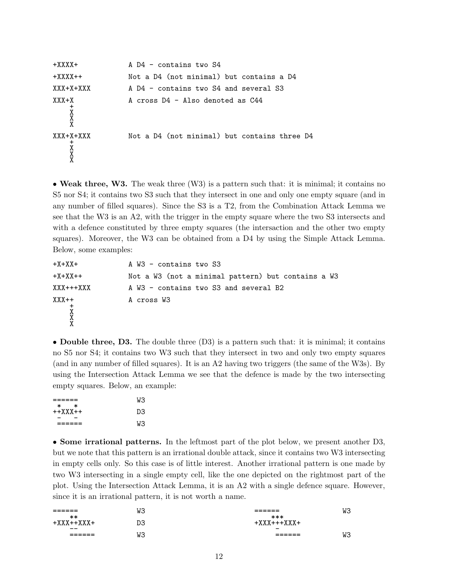```
+XXXX+ A D4 - contains two S4
+XXXX++ Not a D4 (not minimal) but contains a D4
XXX+X+XXX A D4 - contains two S4 and several S3
XXX+X A cross D4 - Also denoted as C44
   \frac{1}{1}X
   X
   X
XXX+X+XXX Not a D4 (not minimal) but contains three D4
   +X
   X
   X
```
• Weak three, W3. The weak three (W3) is a pattern such that: it is minimal; it contains no S5 nor S4; it contains two S3 such that they intersect in one and only one empty square (and in any number of filled squares). Since the S3 is a T2, from the Combination Attack Lemma we see that the W3 is an A2, with the trigger in the empty square where the two S3 intersects and with a defence constituted by three empty squares (the intersaction and the other two empty squares). Moreover, the W3 can be obtained from a D4 by using the Simple Attack Lemma. Below, some examples:

+X+XX+ A W3 - contains two S3 +X+XX++ Not a W3 (not a minimal pattern) but contains a W3 XXX+++XXX A W3 - contains two S3 and several B2 XXX++ A cross W3  $\frac{+}{1}$ X X X

• Double three, D3. The double three (D3) is a pattern such that: it is minimal; it contains no S5 nor S4; it contains two W3 such that they intersect in two and only two empty squares (and in any number of filled squares). It is an A2 having two triggers (the same of the W3s). By using the Intersection Attack Lemma we see that the defence is made by the two intersecting empty squares. Below, an example:

|                          | WЗ |
|--------------------------|----|
| $\ast$<br>∗<br>$++XXX++$ | D3 |
|                          | WЗ |

• Some irrational patterns. In the leftmost part of the plot below, we present another D3, but we note that this pattern is an irrational double attack, since it contains two W3 intersecting in empty cells only. So this case is of little interest. Another irrational pattern is one made by two W3 intersecting in a single empty cell, like the one depicted on the rightmost part of the plot. Using the Intersection Attack Lemma, it is an A2 with a single defence square. However, since it is an irrational pattern, it is not worth a name.

| -------<br>______<br>$**$ | WЗ | -------<br>______<br>$***$ | WЗ |
|---------------------------|----|----------------------------|----|
| $- -$                     | DЗ | $\overline{\phantom{0}}$   |    |
| -------<br>______         | WЗ | ------<br>______           | WЗ |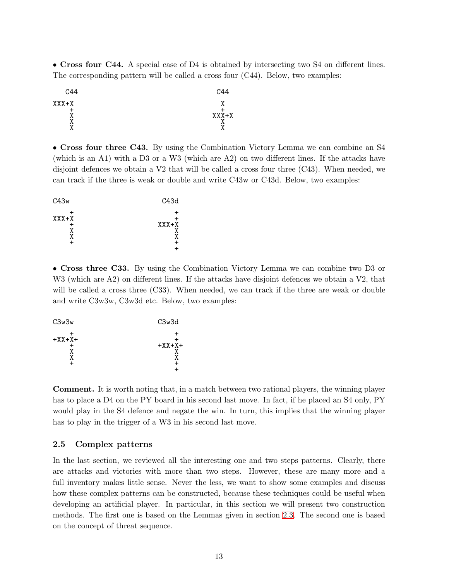• Cross four C44. A special case of D4 is obtained by intersecting two S4 on different lines. The corresponding pattern will be called a cross four (C44). Below, two examples:



• Cross four three C43. By using the Combination Victory Lemma we can combine an S4 (which is an A1) with a D3 or a W3 (which are A2) on two different lines. If the attacks have disjoint defences we obtain a V2 that will be called a cross four three (C43). When needed, we can track if the three is weak or double and write C43w or C43d. Below, two examples:

| C43w    | C43d    |
|---------|---------|
| $XXX+X$ | $XXX+X$ |

• Cross three C33. By using the Combination Victory Lemma we can combine two D3 or W<sub>3</sub> (which are A<sub>2</sub>) on different lines. If the attacks have disjoint defences we obtain a V<sub>2</sub>, that will be called a cross three (C33). When needed, we can track if the three are weak or double and write C3w3w, C3w3d etc. Below, two examples:

| C3w3w    | C3w3d    |
|----------|----------|
| $+XX+X+$ | $+XX+X+$ |

Comment. It is worth noting that, in a match between two rational players, the winning player has to place a D4 on the PY board in his second last move. In fact, if he placed an S4 only, PY would play in the S4 defence and negate the win. In turn, this implies that the winning player has to play in the trigger of a W3 in his second last move.

### <span id="page-12-0"></span>2.5 Complex patterns

In the last section, we reviewed all the interesting one and two steps patterns. Clearly, there are attacks and victories with more than two steps. However, these are many more and a full inventory makes little sense. Never the less, we want to show some examples and discuss how these complex patterns can be constructed, because these techniques could be useful when developing an artificial player. In particular, in this section we will present two construction methods. The first one is based on the Lemmas given in section [2.3.](#page-8-0) The second one is based on the concept of threat sequence.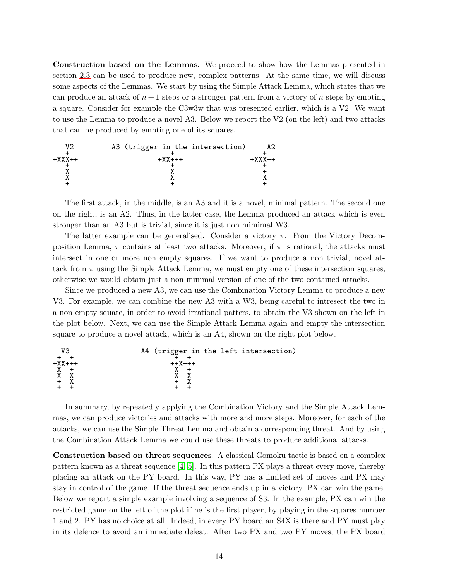Construction based on the Lemmas. We proceed to show how the Lemmas presented in section [2.3](#page-8-0) can be used to produce new, complex patterns. At the same time, we will discuss some aspects of the Lemmas. We start by using the Simple Attack Lemma, which states that we can produce an attack of  $n+1$  steps or a stronger pattern from a victory of n steps by empting a square. Consider for example the C3w3w that was presented earlier, which is a V2. We want to use the Lemma to produce a novel A3. Below we report the V2 (on the left) and two attacks that can be produced by empting one of its squares.



The first attack, in the middle, is an A3 and it is a novel, minimal pattern. The second one on the right, is an A2. Thus, in the latter case, the Lemma produced an attack which is even stronger than an A3 but is trivial, since it is just non mimimal W3.

The latter example can be generalised. Consider a victory  $\pi$ . From the Victory Decomposition Lemma,  $\pi$  contains at least two attacks. Moreover, if  $\pi$  is rational, the attacks must intersect in one or more non empty squares. If we want to produce a non trivial, novel attack from  $\pi$  using the Simple Attack Lemma, we must empty one of these intersection squares, otherwise we would obtain just a non minimal version of one of the two contained attacks.

Since we produced a new A3, we can use the Combination Victory Lemma to produce a new V3. For example, we can combine the new A3 with a W3, being careful to intresect the two in a non empty square, in order to avoid irrational patters, to obtain the V3 shown on the left in the plot below. Next, we can use the Simple Attack Lemma again and empty the intersection square to produce a novel attack, which is an A4, shown on the right plot below.



In summary, by repeatedly applying the Combination Victory and the Simple Attack Lemmas, we can produce victories and attacks with more and more steps. Moreover, for each of the attacks, we can use the Simple Threat Lemma and obtain a corresponding threat. And by using the Combination Attack Lemma we could use these threats to produce additional attacks.

Construction based on threat sequences. A classical Gomoku tactic is based on a complex pattern known as a threat sequence  $\vert 4, 5 \vert$ . In this pattern PX plays a threat every move, thereby placing an attack on the PY board. In this way, PY has a limited set of moves and PX may stay in control of the game. If the threat sequence ends up in a victory, PX can win the game. Below we report a simple example involving a sequence of S3. In the example, PX can win the restricted game on the left of the plot if he is the first player, by playing in the squares number 1 and 2. PY has no choice at all. Indeed, in every PY board an S4X is there and PY must play in its defence to avoid an immediate defeat. After two PX and two PY moves, the PX board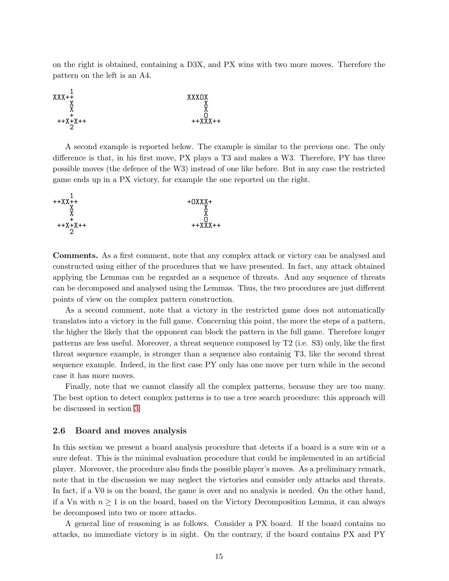on the right is obtained, containing a D3X, and PX wins with two more moves. Therefore the pattern on the left is an A4.



A second example is reported below. The example is similar to the previous one. The only difference is that, in his first move, PX plays a T3 and makes a W3. Therefore, PY has three possible moves (the defence of the W3) instead of one like before. But in any case the restricted game ends up in a PX victory, for example the one reported on the right.



Comments. As a first comment, note that any complex attack or victory can be analysed and constructed using either of the procedures that we have presented. In fact, any attack obtained applying the Lemmas can be regarded as a sequence of threats. And any sequence of threats can be decomposed and analysed using the Lemmas. Thus, the two procedures are just different points of view on the complex pattern construction.

As a second comment, note that a victory in the restricted game does not automatically translates into a victory in the full game. Concerning this point, the more the steps of a pattern, the higher the likely that the opponent can block the pattern in the full game. Therefore longer patterns are less useful. Moreover, a threat sequence composed by T2 (i.e. S3) only, like the first threat sequence example, is stronger than a sequence also containig T3, like the second threat sequence example. Indeed, in the first case PY only has one move per turn while in the second case it has more moves.

Finally, note that we cannot classify all the complex patterns, because they are too many. The best option to detect complex patterns is to use a tree search procedure: this approach will be discussed in section [3.](#page-17-0)

#### <span id="page-14-0"></span>2.6 Board and moves analysis

In this section we present a board analysis procedure that detects if a board is a sure win or a sure defeat. This is the minimal evaluation procedure that could be implemented in an artificial player. Moreover, the procedure also finds the possible player's moves. As a preliminary remark, note that in the discussion we may neglect the victories and consider only attacks and threats. In fact, if a V0 is on the board, the game is over and no analysis is needed. On the other hand, if a Vn with  $n \geq 1$  is on the board, based on the Victory Decomposition Lemma, it can always be decomposed into two or more attacks.

A general line of reasoning is as follows. Consider a PX board. If the board contains no attacks, no immediate victory is in sight. On the contrary, if the board contains PX and PY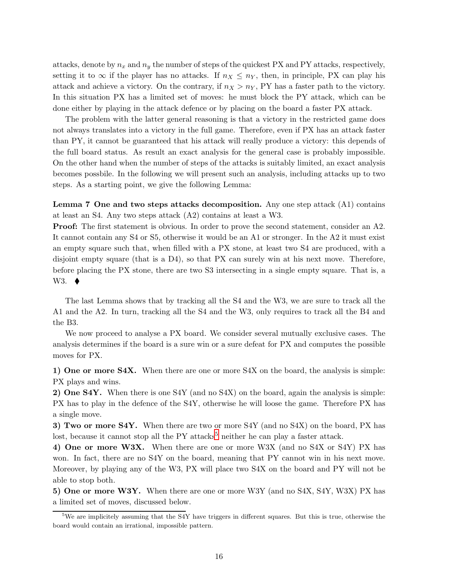attacks, denote by  $n_x$  and  $n_y$  the number of steps of the quickest PX and PY attacks, respectively, setting it to  $\infty$  if the player has no attacks. If  $n_X \leq n_Y$ , then, in principle, PX can play his attack and achieve a victory. On the contrary, if  $n_X > n_Y$ , PY has a faster path to the victory. In this situation PX has a limited set of moves: he must block the PY attack, which can be done either by playing in the attack defence or by placing on the board a faster PX attack.

The problem with the latter general reasoning is that a victory in the restricted game does not always translates into a victory in the full game. Therefore, even if PX has an attack faster than PY, it cannot be guaranteed that his attack will really produce a victory: this depends of the full board status. As result an exact analysis for the general case is probably impossible. On the other hand when the number of steps of the attacks is suitably limited, an exact analysis becomes possbile. In the following we will present such an analysis, including attacks up to two steps. As a starting point, we give the following Lemma:

Lemma 7 One and two steps attacks decomposition. Any one step attack (A1) contains at least an S4. Any two steps attack (A2) contains at least a W3.

Proof: The first statement is obvious. In order to prove the second statement, consider an A2. It cannot contain any S4 or S5, otherwise it would be an A1 or stronger. In the A2 it must exist an empty square such that, when filled with a PX stone, at least two S4 are produced, with a disjoint empty square (that is a D4), so that PX can surely win at his next move. Therefore, before placing the PX stone, there are two S3 intersecting in a single empty square. That is, a W3.  $\blacklozenge$ 

The last Lemma shows that by tracking all the S4 and the W3, we are sure to track all the A1 and the A2. In turn, tracking all the S4 and the W3, only requires to track all the B4 and the B3.

We now proceed to analyse a PX board. We consider several mutually exclusive cases. The analysis determines if the board is a sure win or a sure defeat for PX and computes the possible moves for PX.

1) One or more S4X. When there are one or more S4X on the board, the analysis is simple: PX plays and wins.

2) One S4Y. When there is one S4Y (and no S4X) on the board, again the analysis is simple: PX has to play in the defence of the S4Y, otherwise he will loose the game. Therefore PX has a single move.

3) Two or more S4Y. When there are two or more S4Y (and no S4X) on the board, PX has lost, because it cannot stop all the  $PY$  attacks<sup>[5](#page-15-0)</sup> neither he can play a faster attack.

4) One or more W3X. When there are one or more W3X (and no S4X or S4Y) PX has won. In fact, there are no S4Y on the board, meaning that PY cannot win in his next move. Moreover, by playing any of the W3, PX will place two S4X on the board and PY will not be able to stop both.

5) One or more W3Y. When there are one or more W3Y (and no S4X, S4Y, W3X) PX has a limited set of moves, discussed below.

<span id="page-15-0"></span><sup>&</sup>lt;sup>5</sup>We are implicitely assuming that the S4Y have triggers in different squares. But this is true, otherwise the board would contain an irrational, impossible pattern.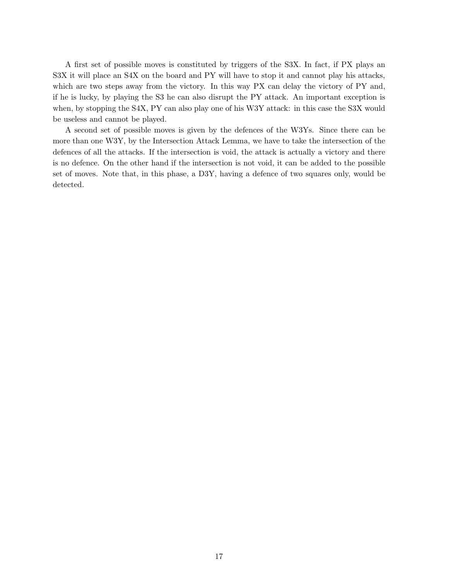A first set of possible moves is constituted by triggers of the S3X. In fact, if PX plays an S3X it will place an S4X on the board and PY will have to stop it and cannot play his attacks, which are two steps away from the victory. In this way PX can delay the victory of PY and, if he is lucky, by playing the S3 he can also disrupt the PY attack. An important exception is when, by stopping the S4X, PY can also play one of his W3Y attack: in this case the S3X would be useless and cannot be played.

A second set of possible moves is given by the defences of the W3Ys. Since there can be more than one W3Y, by the Intersection Attack Lemma, we have to take the intersection of the defences of all the attacks. If the intersection is void, the attack is actually a victory and there is no defence. On the other hand if the intersection is not void, it can be added to the possible set of moves. Note that, in this phase, a D3Y, having a defence of two squares only, would be detected.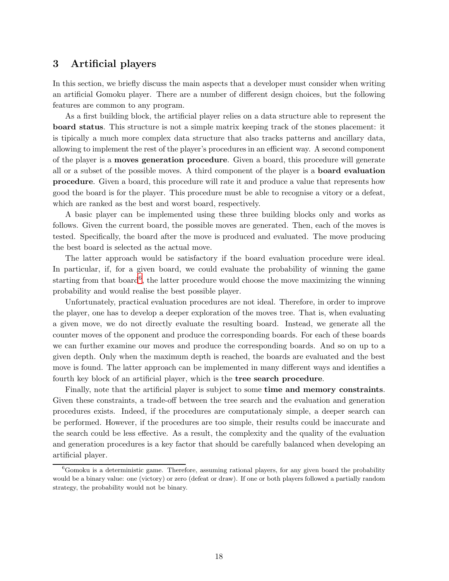## <span id="page-17-0"></span>3 Artificial players

In this section, we briefly discuss the main aspects that a developer must consider when writing an artificial Gomoku player. There are a number of different design choices, but the following features are common to any program.

As a first building block, the artificial player relies on a data structure able to represent the board status. This structure is not a simple matrix keeping track of the stones placement: it is tipically a much more complex data structure that also tracks patterns and ancillary data, allowing to implement the rest of the player's procedures in an efficient way. A second component of the player is a moves generation procedure. Given a board, this procedure will generate all or a subset of the possible moves. A third component of the player is a board evaluation procedure. Given a board, this procedure will rate it and produce a value that represents how good the board is for the player. This procedure must be able to recognise a vitory or a defeat, which are ranked as the best and worst board, respectively.

A basic player can be implemented using these three building blocks only and works as follows. Given the current board, the possible moves are generated. Then, each of the moves is tested. Specifically, the board after the move is produced and evaluated. The move producing the best board is selected as the actual move.

The latter approach would be satisfactory if the board evaluation procedure were ideal. In particular, if, for a given board, we could evaluate the probability of winning the game starting from that board<sup>[6](#page-17-1)</sup>, the latter procedure would choose the move maximizing the winning probability and would realise the best possible player.

Unfortunately, practical evaluation procedures are not ideal. Therefore, in order to improve the player, one has to develop a deeper exploration of the moves tree. That is, when evaluating a given move, we do not directly evaluate the resulting board. Instead, we generate all the counter moves of the opponent and produce the corresponding boards. For each of these boards we can further examine our moves and produce the corresponding boards. And so on up to a given depth. Only when the maximum depth is reached, the boards are evaluated and the best move is found. The latter approach can be implemented in many different ways and identifies a fourth key block of an artificial player, which is the tree search procedure.

Finally, note that the artificial player is subject to some **time and memory constraints**. Given these constraints, a trade-off between the tree search and the evaluation and generation procedures exists. Indeed, if the procedures are computationaly simple, a deeper search can be performed. However, if the procedures are too simple, their results could be inaccurate and the search could be less effective. As a result, the complexity and the quality of the evaluation and generation procedures is a key factor that should be carefully balanced when developing an artificial player.

<span id="page-17-1"></span> ${}^{6}$ Gomoku is a deterministic game. Therefore, assuming rational players, for any given board the probability would be a binary value: one (victory) or zero (defeat or draw). If one or both players followed a partially random strategy, the probability would not be binary.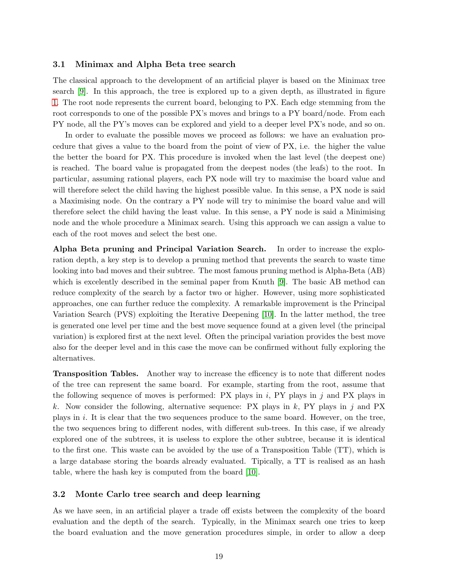#### <span id="page-18-0"></span>3.1 Minimax and Alpha Beta tree search

The classical approach to the development of an artificial player is based on the Minimax tree search [\[9\]](#page-31-8). In this approach, the tree is explored up to a given depth, as illustrated in figure [1.](#page-19-1) The root node represents the current board, belonging to PX. Each edge stemming from the root corresponds to one of the possible PX's moves and brings to a PY board/node. From each PY node, all the PY's moves can be explored and yield to a deeper level PX's node, and so on.

In order to evaluate the possible moves we proceed as follows: we have an evaluation procedure that gives a value to the board from the point of view of PX, i.e. the higher the value the better the board for PX. This procedure is invoked when the last level (the deepest one) is reached. The board value is propagated from the deepest nodes (the leafs) to the root. In particular, assuming rational players, each PX node will try to maximise the board value and will therefore select the child having the highest possible value. In this sense, a PX node is said a Maximising node. On the contrary a PY node will try to minimise the board value and will therefore select the child having the least value. In this sense, a PY node is said a Minimising node and the whole procedure a Minimax search. Using this approach we can assign a value to each of the root moves and select the best one.

Alpha Beta pruning and Principal Variation Search. In order to increase the exploration depth, a key step is to develop a pruning method that prevents the search to waste time looking into bad moves and their subtree. The most famous pruning method is Alpha-Beta (AB) which is excelently described in the seminal paper from Knuth [\[9\]](#page-31-8). The basic AB method can reduce complexity of the search by a factor two or higher. However, using more sophisticated approaches, one can further reduce the complexity. A remarkable improvement is the Principal Variation Search (PVS) exploiting the Iterative Deepening [\[10\]](#page-31-9). In the latter method, the tree is generated one level per time and the best move sequence found at a given level (the principal variation) is explored first at the next level. Often the principal variation provides the best move also for the deeper level and in this case the move can be confirmed without fully exploring the alternatives.

Transposition Tables. Another way to increase the efficency is to note that different nodes of the tree can represent the same board. For example, starting from the root, assume that the following sequence of moves is performed: PX plays in  $i$ , PY plays in  $j$  and PX plays in k. Now consider the following, alternative sequence: PX plays in  $k$ , PY plays in j and PX plays in  $i$ . It is clear that the two sequences produce to the same board. However, on the tree, the two sequences bring to different nodes, with different sub-trees. In this case, if we already explored one of the subtrees, it is useless to explore the other subtree, because it is identical to the first one. This waste can be avoided by the use of a Transposition Table (TT), which is a large database storing the boards already evaluated. Tipically, a TT is realised as an hash table, where the hash key is computed from the board [\[10\]](#page-31-9).

#### <span id="page-18-1"></span>3.2 Monte Carlo tree search and deep learning

As we have seen, in an artificial player a trade off exists between the complexity of the board evaluation and the depth of the search. Typically, in the Minimax search one tries to keep the board evaluation and the move generation procedures simple, in order to allow a deep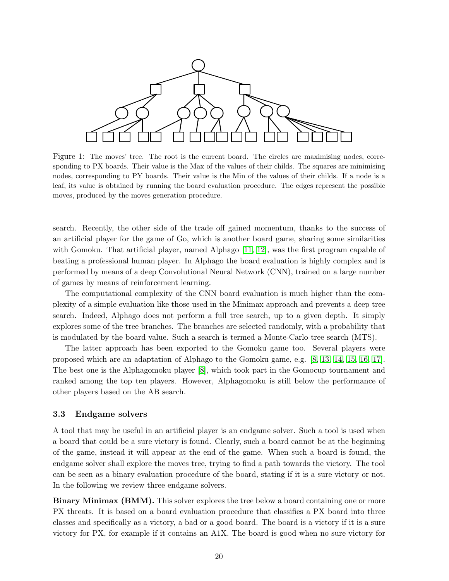

<span id="page-19-1"></span>Figure 1: The moves' tree. The root is the current board. The circles are maximising nodes, corresponding to PX boards. Their value is the Max of the values of their childs. The squares are minimising nodes, corresponding to PY boards. Their value is the Min of the values of their childs. If a node is a leaf, its value is obtained by running the board evaluation procedure. The edges represent the possible moves, produced by the moves generation procedure.

search. Recently, the other side of the trade off gained momentum, thanks to the success of an artificial player for the game of Go, which is another board game, sharing some similarities with Gomoku. That artificial player, named Alphago [\[11,](#page-31-10) [12\]](#page-31-11), was the first program capable of beating a professional human player. In Alphago the board evaluation is highly complex and is performed by means of a deep Convolutional Neural Network (CNN), trained on a large number of games by means of reinforcement learning.

The computational complexity of the CNN board evaluation is much higher than the complexity of a simple evaluation like those used in the Minimax approach and prevents a deep tree search. Indeed, Alphago does not perform a full tree search, up to a given depth. It simply explores some of the tree branches. The branches are selected randomly, with a probability that is modulated by the board value. Such a search is termed a Monte-Carlo tree search (MTS).

The latter approach has been exported to the Gomoku game too. Several players were proposed which are an adaptation of Alphago to the Gomoku game, e.g. [\[8,](#page-31-7) [13,](#page-31-12) [14,](#page-31-13) [15,](#page-31-14) [16,](#page-31-15) [17\]](#page-31-16). The best one is the Alphagomoku player [\[8\]](#page-31-7), which took part in the Gomocup tournament and ranked among the top ten players. However, Alphagomoku is still below the performance of other players based on the AB search.

#### <span id="page-19-0"></span>3.3 Endgame solvers

A tool that may be useful in an artificial player is an endgame solver. Such a tool is used when a board that could be a sure victory is found. Clearly, such a board cannot be at the beginning of the game, instead it will appear at the end of the game. When such a board is found, the endgame solver shall explore the moves tree, trying to find a path towards the victory. The tool can be seen as a binary evaluation procedure of the board, stating if it is a sure victory or not. In the following we review three endgame solvers.

Binary Minimax (BMM). This solver explores the tree below a board containing one or more PX threats. It is based on a board evaluation procedure that classifies a PX board into three classes and specifically as a victory, a bad or a good board. The board is a victory if it is a sure victory for PX, for example if it contains an A1X. The board is good when no sure victory for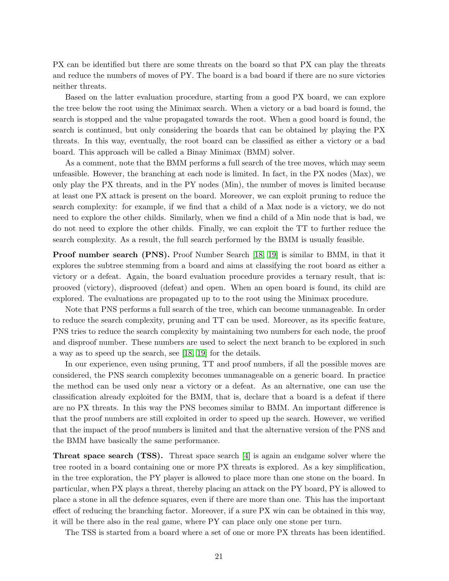PX can be identified but there are some threats on the board so that PX can play the threats and reduce the numbers of moves of PY. The board is a bad board if there are no sure victories neither threats.

Based on the latter evaluation procedure, starting from a good PX board, we can explore the tree below the root using the Minimax search. When a victory or a bad board is found, the search is stopped and the value propagated towards the root. When a good board is found, the search is continued, but only considering the boards that can be obtained by playing the PX threats. In this way, eventually, the root board can be classified as either a victory or a bad board. This approach will be called a Binay Minimax (BMM) solver.

As a comment, note that the BMM performs a full search of the tree moves, which may seem unfeasible. However, the branching at each node is limited. In fact, in the PX nodes (Max), we only play the PX threats, and in the PY nodes (Min), the number of moves is limited because at least one PX attack is present on the board. Moreover, we can exploit pruning to reduce the search complexity: for example, if we find that a child of a Max node is a victory, we do not need to explore the other childs. Similarly, when we find a child of a Min node that is bad, we do not need to explore the other childs. Finally, we can exploit the TT to further reduce the search complexity. As a result, the full search performed by the BMM is usually feasible.

Proof number search (PNS). Proof Number Search [\[18,](#page-31-17) [19\]](#page-31-18) is similar to BMM, in that it explores the subtree stemming from a board and aims at classifying the root board as either a victory or a defeat. Again, the board evaluation procedure provides a ternary result, that is: prooved (victory), disprooved (defeat) and open. When an open board is found, its child are explored. The evaluations are propagated up to to the root using the Minimax procedure.

Note that PNS performs a full search of the tree, which can become unmanageable. In order to reduce the search complexity, pruning and TT can be used. Moreover, as its specific feature, PNS tries to reduce the search complexity by maintaining two numbers for each node, the proof and disproof number. These numbers are used to select the next branch to be explored in such a way as to speed up the search, see [\[18,](#page-31-17) [19\]](#page-31-18) for the details.

In our experience, even using pruning, TT and proof numbers, if all the possible moves are considered, the PNS search complexity becomes unmanageable on a generic board. In practice the method can be used only near a victory or a defeat. As an alternative, one can use the classification already exploited for the BMM, that is, declare that a board is a defeat if there are no PX threats. In this way the PNS becomes similar to BMM. An important difference is that the proof numbers are still exploited in order to speed up the search. However, we verified that the impact of the proof numbers is limited and that the alternative version of the PNS and the BMM have basically the same performance.

Threat space search (TSS). Threat space search [\[4\]](#page-31-3) is again an endgame solver where the tree rooted in a board containing one or more PX threats is explored. As a key simplification, in the tree exploration, the PY player is allowed to place more than one stone on the board. In particular, when PX plays a threat, thereby placing an attack on the PY board, PY is allowed to place a stone in all the defence squares, even if there are more than one. This has the important effect of reducing the branching factor. Moreover, if a sure PX win can be obtained in this way, it will be there also in the real game, where PY can place only one stone per turn.

The TSS is started from a board where a set of one or more PX threats has been identified.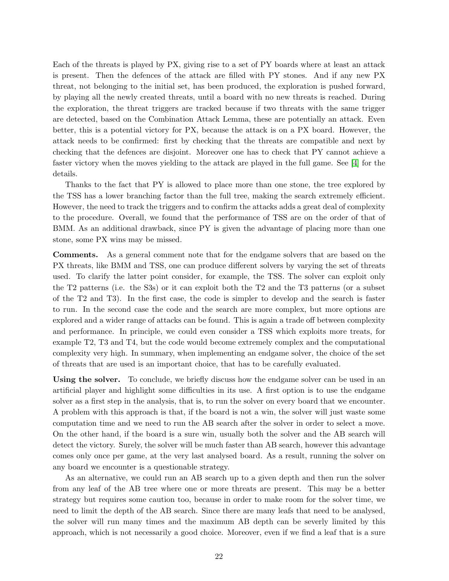Each of the threats is played by PX, giving rise to a set of PY boards where at least an attack is present. Then the defences of the attack are filled with PY stones. And if any new PX threat, not belonging to the initial set, has been produced, the exploration is pushed forward, by playing all the newly created threats, until a board with no new threats is reached. During the exploration, the threat triggers are tracked because if two threats with the same trigger are detected, based on the Combination Attack Lemma, these are potentially an attack. Even better, this is a potential victory for PX, because the attack is on a PX board. However, the attack needs to be confirmed: first by checking that the threats are compatible and next by checking that the defences are disjoint. Moreover one has to check that PY cannot achieve a faster victory when the moves yielding to the attack are played in the full game. See [\[4\]](#page-31-3) for the details.

Thanks to the fact that PY is allowed to place more than one stone, the tree explored by the TSS has a lower branching factor than the full tree, making the search extremely efficient. However, the need to track the triggers and to confirm the attacks adds a great deal of complexity to the procedure. Overall, we found that the performance of TSS are on the order of that of BMM. As an additional drawback, since PY is given the advantage of placing more than one stone, some PX wins may be missed.

Comments. As a general comment note that for the endgame solvers that are based on the PX threats, like BMM and TSS, one can produce different solvers by varying the set of threats used. To clarify the latter point consider, for example, the TSS. The solver can exploit only the T2 patterns (i.e. the S3s) or it can exploit both the T2 and the T3 patterns (or a subset of the T2 and T3). In the first case, the code is simpler to develop and the search is faster to run. In the second case the code and the search are more complex, but more options are explored and a wider range of attacks can be found. This is again a trade off between complexity and performance. In principle, we could even consider a TSS which exploits more treats, for example T2, T3 and T4, but the code would become extremely complex and the computational complexity very high. In summary, when implementing an endgame solver, the choice of the set of threats that are used is an important choice, that has to be carefully evaluated.

Using the solver. To conclude, we briefly discuss how the endgame solver can be used in an artificial player and highlight some difficulties in its use. A first option is to use the endgame solver as a first step in the analysis, that is, to run the solver on every board that we encounter. A problem with this approach is that, if the board is not a win, the solver will just waste some computation time and we need to run the AB search after the solver in order to select a move. On the other hand, if the board is a sure win, usually both the solver and the AB search will detect the victory. Surely, the solver will be much faster than AB search, however this advantage comes only once per game, at the very last analysed board. As a result, running the solver on any board we encounter is a questionable strategy.

As an alternative, we could run an AB search up to a given depth and then run the solver from any leaf of the AB tree where one or more threats are present. This may be a better strategy but requires some caution too, because in order to make room for the solver time, we need to limit the depth of the AB search. Since there are many leafs that need to be analysed, the solver will run many times and the maximum AB depth can be severly limited by this approach, which is not necessarily a good choice. Moreover, even if we find a leaf that is a sure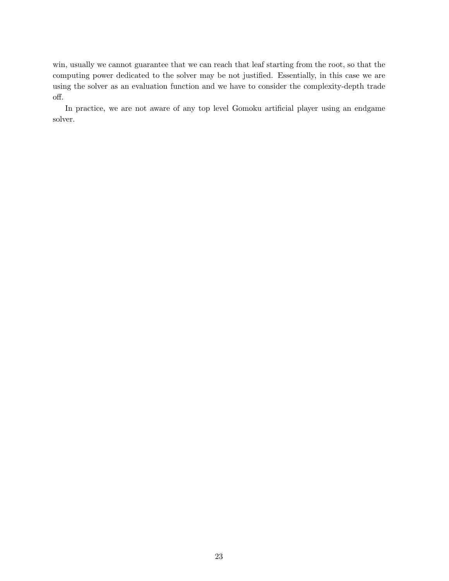win, usually we cannot guarantee that we can reach that leaf starting from the root, so that the computing power dedicated to the solver may be not justified. Essentially, in this case we are using the solver as an evaluation function and we have to consider the complexity-depth trade off.

In practice, we are not aware of any top level Gomoku artificial player using an endgame solver.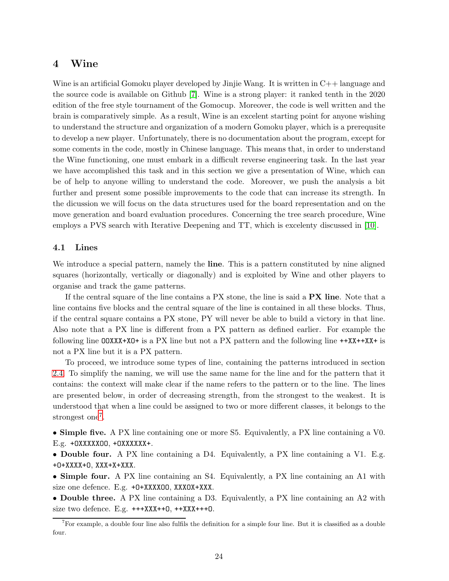## <span id="page-23-0"></span>4 Wine

Wine is an artificial Gomoku player developed by Jinjie Wang. It is written in C++ language and the source code is available on Github [\[7\]](#page-31-6). Wine is a strong player: it ranked tenth in the 2020 edition of the free style tournament of the Gomocup. Moreover, the code is well written and the brain is comparatively simple. As a result, Wine is an excelent starting point for anyone wishing to understand the structure and organization of a modern Gomoku player, which is a prerequsite to develop a new player. Unfortunately, there is no documentation about the program, except for some coments in the code, mostly in Chinese language. This means that, in order to understand the Wine functioning, one must embark in a difficult reverse engineering task. In the last year we have accomplished this task and in this section we give a presentation of Wine, which can be of help to anyone willing to understand the code. Moreover, we push the analysis a bit further and present some possible improvements to the code that can increase its strength. In the dicussion we will focus on the data structures used for the board representation and on the move generation and board evaluation procedures. Concerning the tree search procedure, Wine employs a PVS search with Iterative Deepening and TT, which is excelenty discussed in [\[10\]](#page-31-9).

### <span id="page-23-1"></span>4.1 Lines

We introduce a special pattern, namely the **line**. This is a pattern constituted by nine aligned squares (horizontally, vertically or diagonally) and is exploited by Wine and other players to organise and track the game patterns.

If the central square of the line contains a PX stone, the line is said a PX line. Note that a line contains five blocks and the central square of the line is contained in all these blocks. Thus, if the central square contains a PX stone, PY will never be able to build a victory in that line. Also note that a PX line is different from a PX pattern as defined earlier. For example the following line OOXXX+XO+ is a PX line but not a PX pattern and the following line ++XX++XX+ is not a PX line but it is a PX pattern.

To proceed, we introduce some types of line, containing the patterns introduced in section [2.4.](#page-10-0) To simplify the naming, we will use the same name for the line and for the pattern that it contains: the context will make clear if the name refers to the pattern or to the line. The lines are presented below, in order of decreasing strength, from the strongest to the weakest. It is understood that when a line could be assigned to two or more different classes, it belongs to the strongest one<sup>[7](#page-23-2)</sup>.

• Simple five. A PX line containing one or more S5. Equivalently, a PX line containing a V0. E.g. +OXXXXXOO, +OXXXXXX+.

• Double four. A PX line containing a D4. Equivalently, a PX line containing a V1. E.g. +O+XXXX+O, XXX+X+XXX.

• Simple four. A PX line containing an S4. Equivalently, a PX line containing an A1 with size one defence. E.g. +O+XXXXOO, XXXOX+XXX.

• Double three. A PX line containing a D3. Equivalently, a PX line containing an A2 with size two defence. E.g.  $+++XXX++0$ ,  $++XXX++0$ .

<span id="page-23-2"></span> $<sup>7</sup>$  For example, a double four line also fulfils the definition for a simple four line. But it is classified as a double</sup> four.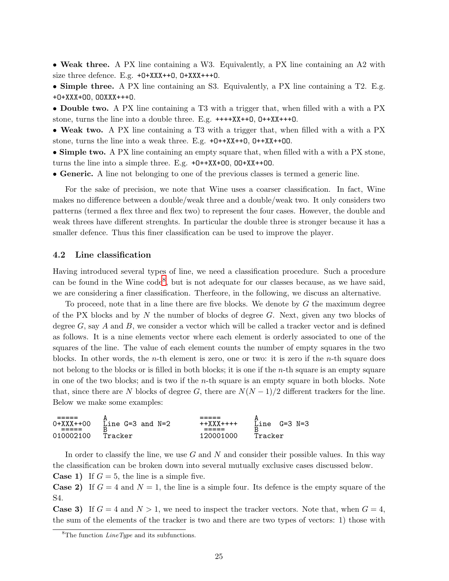• Weak three. A PX line containing a W3. Equivalently, a PX line containing an A2 with size three defence. E.g.  $+0+XXX++0$ ,  $0+XXX++0$ .

• Simple three. A PX line containing an S3. Equivalently, a PX line containing a T2. E.g. +O+XXX+OO, OOXXX+++O.

• Double two. A PX line containing a T3 with a trigger that, when filled with a with a PX stone, turns the line into a double three. E.g. ++++XX++O, O++XX+++O.

• Weak two. A PX line containing a T3 with a trigger that, when filled with a with a PX stone, turns the line into a weak three. E.g. +O++XX++O, O++XX++OO.

• Simple two. A PX line containing an empty square that, when filled with a with a PX stone, turns the line into a simple three. E.g. +O++XX+OO, OO+XX++OO.

• Generic. A line not belonging to one of the previous classes is termed a generic line.

For the sake of precision, we note that Wine uses a coarser classification. In fact, Wine makes no difference between a double/weak three and a double/weak two. It only considers two patterns (termed a flex three and flex two) to represent the four cases. However, the double and weak threes have different strenghts. In particular the double three is stronger because it has a smaller defence. Thus this finer classification can be used to improve the player.

#### <span id="page-24-0"></span>4.2 Line classification

Having introduced several types of line, we need a classification procedure. Such a procedure can be found in the Wine code<sup>[8](#page-24-1)</sup>, but is not adequate for our classes because, as we have said, we are considering a finer classification. Therfeore, in the following, we discuss an alternative.

To proceed, note that in a line there are five blocks. We denote by  $G$  the maximum degree of the PX blocks and by  $N$  the number of blocks of degree  $G$ . Next, given any two blocks of degree  $G$ , say  $A$  and  $B$ , we consider a vector which will be called a tracker vector and is defined as follows. It is a nine elements vector where each element is orderly associated to one of the squares of the line. The value of each element counts the number of empty squares in the two blocks. In other words, the *n*-th element is zero, one or two: it is zero if the *n*-th square does not belong to the blocks or is filled in both blocks; it is one if the *n*-th square is an empty square in one of the two blocks; and is two if the n-th square is an empty square in both blocks. Note that, since there are N blocks of degree G, there are  $N(N-1)/2$  different trackers for the line. Below we make some examples:

===== A ===== A 0+XXX++00 Line G=3 and N=2 ++XXX++++ Line G=3 N=3 ===== B ===== B 010002100 Tracker 120001000 Tracker

In order to classify the line, we use  $G$  and  $N$  and consider their possible values. In this way the classification can be broken down into several mutually exclusive cases discussed below.

**Case 1)** If  $G = 5$ , the line is a simple five.

**Case 2)** If  $G = 4$  and  $N = 1$ , the line is a simple four. Its defence is the empty square of the S4.

**Case 3)** If  $G = 4$  and  $N > 1$ , we need to inspect the tracker vectors. Note that, when  $G = 4$ , the sum of the elements of the tracker is two and there are two types of vectors: 1) those with

<span id="page-24-1"></span> ${}^{8}$ The function *LineType* and its subfunctions.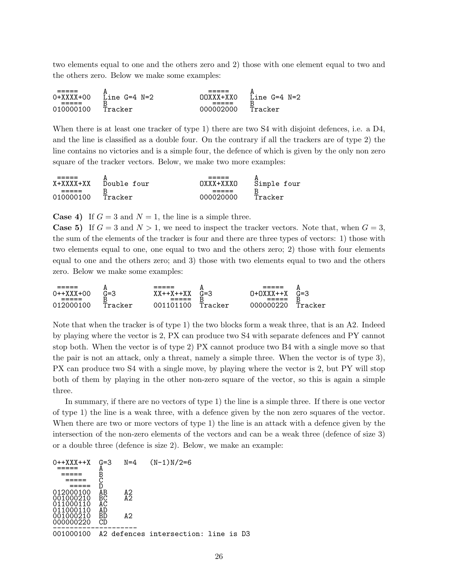two elements equal to one and the others zero and 2) those with one element equal to two and the others zero. Below we make some examples:

| 0+XXXX+00<br>----- | A<br>$N=2$<br>Line<br>$G=4$<br>R | ----<br>DOXXX+XXO<br>----- | A<br>$N=2$<br>Line<br>$G=4$<br>с |
|--------------------|----------------------------------|----------------------------|----------------------------------|
| 010000100          | Tracker                          | 000002000                  | Tracker                          |

When there is at least one tracker of type 1) there are two S4 with disjoint defences, i.e. a D4, and the line is classified as a double four. On the contrary if all the trackers are of type 2) the line contains no victories and is a simple four, the defence of which is given by the only non zero square of the tracker vectors. Below, we make two more examples:

| X+XXXX+XX | <br>Double four | ח א א א א א א א | <br>Simple four |
|-----------|-----------------|-----------------|-----------------|
| 010000100 | Tracker         | 000020000       | Tracker         |

**Case 4)** If  $G = 3$  and  $N = 1$ , the line is a simple three.

**Case 5)** If  $G = 3$  and  $N > 1$ , we need to inspect the tracker vectors. Note that, when  $G = 3$ , the sum of the elements of the tracker is four and there are three types of vectors: 1) those with two elements equal to one, one equal to two and the others zero; 2) those with four elements equal to one and the others zero; and 3) those with two elements equal to two and the others zero. Below we make some examples:

| ____<br>----                 | n<br>പാ       | _____<br>----<br>$x + 4X + 4XY$ | <br>G=3      | _____<br>----       | <br>$G = 3$ |
|------------------------------|---------------|---------------------------------|--------------|---------------------|-------------|
| 0++X<br>:+00<br>___<br>----- | $-$<br>◡<br>D | ΛΛ<br>-43<br>-----<br>_____     | –            | ́^<br>____<br>_____ | ں           |
| ∩1 <sup>r</sup><br>10 M      | $Tra.$<br>kor |                                 | Trac<br>cker | JOOD OF             | Tracker     |

Note that when the tracker is of type 1) the two blocks form a weak three, that is an A2. Indeed by playing where the vector is 2, PX can produce two S4 with separate defences and PY cannot stop both. When the vector is of type 2) PX cannot produce two B4 with a single move so that the pair is not an attack, only a threat, namely a simple three. When the vector is of type 3), PX can produce two S4 with a single move, by playing where the vector is 2, but PY will stop both of them by playing in the other non-zero square of the vector, so this is again a simple three.

In summary, if there are no vectors of type 1) the line is a simple three. If there is one vector of type 1) the line is a weak three, with a defence given by the non zero squares of the vector. When there are two or more vectors of type 1) the line is an attack with a defence given by the intersection of the non-zero elements of the vectors and can be a weak three (defence of size 3) or a double three (defence is size 2). Below, we make an example:

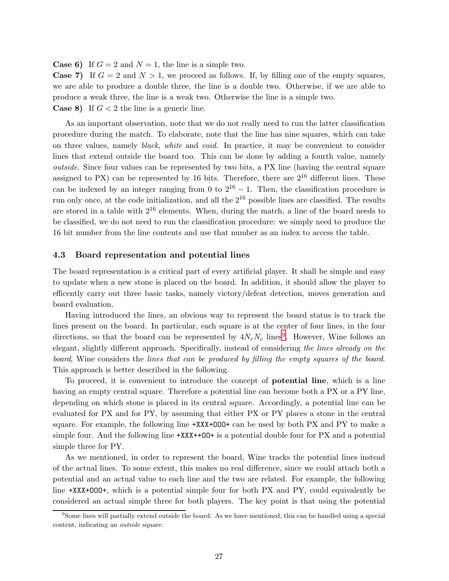**Case 6)** If  $G = 2$  and  $N = 1$ , the line is a simple two.

**Case 7)** If  $G = 2$  and  $N > 1$ , we proceed as follows. If, by filling one of the empty squares, we are able to produce a double three, the line is a double two. Otherwise, if we are able to produce a weak three, the line is a weak two. Otherwise the line is a simple two. **Case 8)** If  $G < 2$  the line is a generic line.

As an important observation, note that we do not really need to run the latter classification procedure during the match. To elaborate, note that the line has nine squares, which can take on three values, namely black, white and void. In practice, it may be convenient to consider lines that extend outside the board too. This can be done by adding a fourth value, namely outside. Since four values can be represented by two bits, a PX line (having the central square assigned to PX) can be represented by 16 bits. Therefore, there are  $2^{16}$  different lines. These can be indexed by an integer ranging from 0 to  $2^{16} - 1$ . Then, the classification procedure is run only once, at the code initialization, and all the  $2^{16}$  possible lines are classified. The results are stored in a table with  $2^{16}$  elements. When, during the match, a line of the board needs to be classified, we do not need to run the classification procedure: we simply need to produce the 16 bit number from the line contents and use that number as an index to access the table.

#### <span id="page-26-0"></span>4.3 Board representation and potential lines

The board representation is a critical part of every artificial player. It shall be simple and easy to update when a new stone is placed on the board. In addition, it should allow the player to efficently carry out three basic tasks, namely victory/defeat detection, moves generation and board evaluation.

Having introduced the lines, an obvious way to represent the board status is to track the lines present on the board. In particular, each square is at the center of four lines, in the four directions, so that the board can be represented by  $4N_rN_c$  lines<sup>[9](#page-26-1)</sup>. However, Wine follows an elegant, slightly different approach. Specifically, instead of considering the lines already on the board, Wine considers the lines that can be produced by filling the empty squares of the board. This approach is better described in the following.

To proceed, it is convenient to introduce the concept of potential line, which is a line having an empty central square. Therefore a potential line can become both a PX or a PY line, depending on which stone is placed in its central square. Accordingly, a potential line can be evaluated for PX and for PY, by assuming that either PX or PY places a stone in the central square. For example, the following line  $+XXX+000+$  can be used by both PX and PY to make a simple four. And the following line +XXX++OO+ is a potential double four for PX and a potential simple three for PY.

As we mentioned, in order to represent the board, Wine tracks the potential lines instead of the actual lines. To some extent, this makes no real difference, since we could attach both a potential and an actual value to each line and the two are related. For example, the following line +XXX+OOO+, which is a potential simple four for both PX and PY, could equivalently be considered an actual simple three for both players. The key point is that using the potential

<span id="page-26-1"></span><sup>&</sup>lt;sup>9</sup>Some lines will partially extend outside the board. As we have mentioned, this can be handled using a special content, indicating an outside square.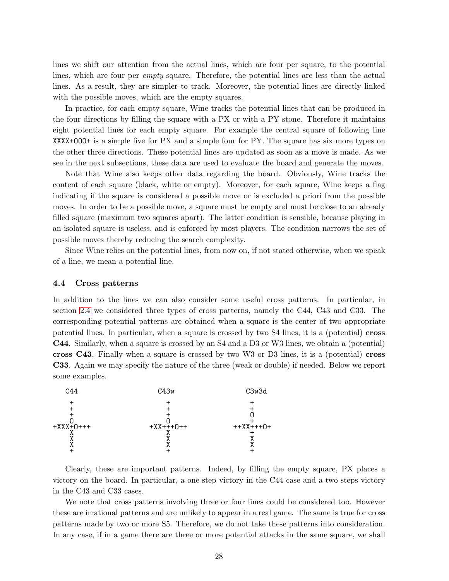lines we shift our attention from the actual lines, which are four per square, to the potential lines, which are four per *empty* square. Therefore, the potential lines are less than the actual lines. As a result, they are simpler to track. Moreover, the potential lines are directly linked with the possible moves, which are the empty squares.

In practice, for each empty square, Wine tracks the potential lines that can be produced in the four directions by filling the square with a PX or with a PY stone. Therefore it maintains eight potential lines for each empty square. For example the central square of following line XXXX+OOO+ is a simple five for PX and a simple four for PY. The square has six more types on the other three directions. These potential lines are updated as soon as a move is made. As we see in the next subsections, these data are used to evaluate the board and generate the moves.

Note that Wine also keeps other data regarding the board. Obviously, Wine tracks the content of each square (black, white or empty). Moreover, for each square, Wine keeps a flag indicating if the square is considered a possible move or is excluded a priori from the possible moves. In order to be a possible move, a square must be empty and must be close to an already filled square (maximum two squares apart). The latter condition is sensible, because playing in an isolated square is useless, and is enforced by most players. The condition narrows the set of possible moves thereby reducing the search complexity.

Since Wine relies on the potential lines, from now on, if not stated otherwise, when we speak of a line, we mean a potential line.

#### <span id="page-27-0"></span>4.4 Cross patterns

In addition to the lines we can also consider some useful cross patterns. In particular, in section [2.4](#page-10-0) we considered three types of cross patterns, namely the C44, C43 and C33. The corresponding potential patterns are obtained when a square is the center of two appropriate potential lines. In particular, when a square is crossed by two S4 lines, it is a (potential) cross C44. Similarly, when a square is crossed by an S4 and a D3 or W3 lines, we obtain a (potential) cross C43. Finally when a square is crossed by two W3 or D3 lines, it is a (potential) cross C33. Again we may specify the nature of the three (weak or double) if needed. Below we report some examples.



Clearly, these are important patterns. Indeed, by filling the empty square, PX places a victory on the board. In particular, a one step victory in the C44 case and a two steps victory in the C43 and C33 cases.

We note that cross patterns involving three or four lines could be considered too. However these are irrational patterns and are unlikely to appear in a real game. The same is true for cross patterns made by two or more S5. Therefore, we do not take these patterns into consideration. In any case, if in a game there are three or more potential attacks in the same square, we shall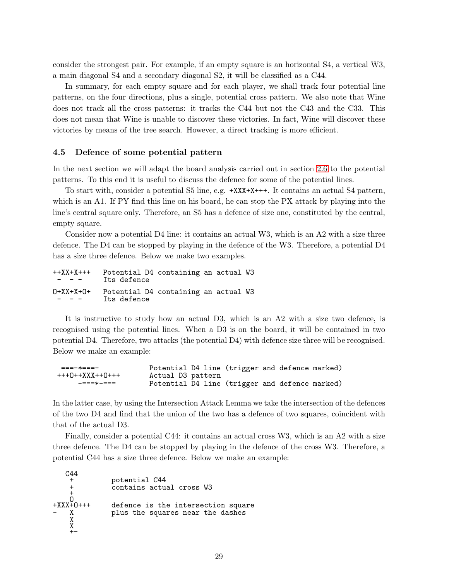consider the strongest pair. For example, if an empty square is an horizontal S4, a vertical W3, a main diagonal S4 and a secondary diagonal S2, it will be classified as a C44.

In summary, for each empty square and for each player, we shall track four potential line patterns, on the four directions, plus a single, potential cross pattern. We also note that Wine does not track all the cross patterns: it tracks the C44 but not the C43 and the C33. This does not mean that Wine is unable to discover these victories. In fact, Wine will discover these victories by means of the tree search. However, a direct tracking is more efficient.

#### <span id="page-28-0"></span>4.5 Defence of some potential pattern

In the next section we will adapt the board analysis carried out in section [2.6](#page-14-0) to the potential patterns. To this end it is useful to discuss the defence for some of the potential lines.

To start with, consider a potential S5 line, e.g. +XXX+X+++. It contains an actual S4 pattern, which is an A1. If PY find this line on his board, he can stop the PX attack by playing into the line's central square only. Therefore, an S5 has a defence of size one, constituted by the central, empty square.

Consider now a potential D4 line: it contains an actual W3, which is an A2 with a size three defence. The D4 can be stopped by playing in the defence of the W3. Therefore, a potential D4 has a size three defence. Below we make two examples.

| $++XX+X++$<br>$\frac{1}{2} \left( \frac{1}{2} \right) \left( \frac{1}{2} \right) \left( \frac{1}{2} \right) \left( \frac{1}{2} \right) \left( \frac{1}{2} \right) \left( \frac{1}{2} \right) \left( \frac{1}{2} \right) \left( \frac{1}{2} \right) \left( \frac{1}{2} \right) \left( \frac{1}{2} \right) \left( \frac{1}{2} \right) \left( \frac{1}{2} \right) \left( \frac{1}{2} \right) \left( \frac{1}{2} \right) \left( \frac{1}{2} \right) \left( \frac{1}{2} \right) \left( \frac$ | Potential D4 containing an actual W3<br>Its defence |  |  |
|------------------------------------------------------------------------------------------------------------------------------------------------------------------------------------------------------------------------------------------------------------------------------------------------------------------------------------------------------------------------------------------------------------------------------------------------------------------------------------------|-----------------------------------------------------|--|--|
| $0+XX+X+O+$<br>$  -$                                                                                                                                                                                                                                                                                                                                                                                                                                                                     | Potential D4 containing an actual W3<br>Its defence |  |  |

It is instructive to study how an actual D3, which is an A2 with a size two defence, is recognised using the potential lines. When a D3 is on the board, it will be contained in two potential D4. Therefore, two attacks (the potential D4) with defence size three will be recognised. Below we make an example:

```
===-*===- Potential D4 line (trigger and defence marked)
                   Actual D3 pattern
    -===*-=== Potential D4 line (trigger and defence marked)
```
In the latter case, by using the Intersection Attack Lemma we take the intersection of the defences of the two D4 and find that the union of the two has a defence of two squares, coincident with that of the actual D3.

Finally, consider a potential C44: it contains an actual cross W3, which is an A2 with a size three defence. The D4 can be stopped by playing in the defence of the cross W3. Therefore, a potential C44 has a size three defence. Below we make an example:

```
C44
     + potential C44
                    contains actual cross W3
     \frac{1}{2}O
+XXX+O+++ defence is the intersection square<br>- X                 plus the squares near the dashes
                   plus the squares near the dashes
     X
     X
     + -
```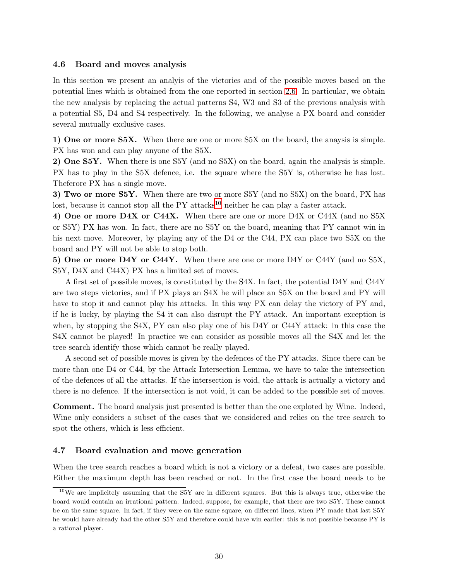#### <span id="page-29-0"></span>4.6 Board and moves analysis

In this section we present an analyis of the victories and of the possible moves based on the potential lines which is obtained from the one reported in section [2.6.](#page-14-0) In particular, we obtain the new analysis by replacing the actual patterns S4, W3 and S3 of the previous analysis with a potential S5, D4 and S4 respectively. In the following, we analyse a PX board and consider several mutually exclusive cases.

1) One or more S5X. When there are one or more S5X on the board, the anaysis is simple. PX has won and can play anyone of the S5X.

2) One S5Y. When there is one S5Y (and no S5X) on the board, again the analysis is simple. PX has to play in the S5X defence, i.e. the square where the S5Y is, otherwise he has lost. Theferore PX has a single move.

3) Two or more S5Y. When there are two or more S5Y (and no S5X) on the board, PX has lost, because it cannot stop all the  $PY$  attacks<sup>[10](#page-29-2)</sup> neither he can play a faster attack.

4) One or more D4X or C44X. When there are one or more D4X or C44X (and no S5X or S5Y) PX has won. In fact, there are no S5Y on the board, meaning that PY cannot win in his next move. Moreover, by playing any of the D4 or the C44, PX can place two S5X on the board and PY will not be able to stop both.

5) One or more D4Y or C44Y. When there are one or more D4Y or C44Y (and no S5X, S5Y, D4X and C44X) PX has a limited set of moves.

A first set of possible moves, is constituted by the S4X. In fact, the potential D4Y and C44Y are two steps victories, and if PX plays an S4X he will place an S5X on the board and PY will have to stop it and cannot play his attacks. In this way PX can delay the victory of PY and, if he is lucky, by playing the S4 it can also disrupt the PY attack. An important exception is when, by stopping the S4X, PY can also play one of his D4Y or C44Y attack: in this case the S4X cannot be played! In practice we can consider as possible moves all the S4X and let the tree search identify those which cannot be really played.

A second set of possible moves is given by the defences of the PY attacks. Since there can be more than one D4 or C44, by the Attack Intersection Lemma, we have to take the intersection of the defences of all the attacks. If the intersection is void, the attack is actually a victory and there is no defence. If the intersection is not void, it can be added to the possible set of moves.

Comment. The board analysis just presented is better than the one exploted by Wine. Indeed, Wine only considers a subset of the cases that we considered and relies on the tree search to spot the others, which is less efficient.

### <span id="page-29-1"></span>4.7 Board evaluation and move generation

When the tree search reaches a board which is not a victory or a defeat, two cases are possible. Either the maximum depth has been reached or not. In the first case the board needs to be

<span id="page-29-2"></span><sup>&</sup>lt;sup>10</sup>We are implicitely assuming that the S5Y are in different squares. But this is always true, otherwise the board would contain an irrational pattern. Indeed, suppose, for example, that there are two S5Y. These cannot be on the same square. In fact, if they were on the same square, on different lines, when PY made that last S5Y he would have already had the other S5Y and therefore could have win earlier: this is not possible because PY is a rational player.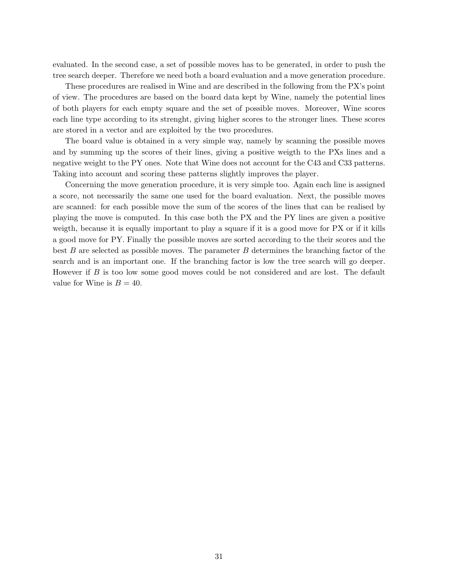evaluated. In the second case, a set of possible moves has to be generated, in order to push the tree search deeper. Therefore we need both a board evaluation and a move generation procedure.

These procedures are realised in Wine and are described in the following from the PX's point of view. The procedures are based on the board data kept by Wine, namely the potential lines of both players for each empty square and the set of possible moves. Moreover, Wine scores each line type according to its strenght, giving higher scores to the stronger lines. These scores are stored in a vector and are exploited by the two procedures.

The board value is obtained in a very simple way, namely by scanning the possible moves and by summing up the scores of their lines, giving a positive weigth to the PXs lines and a negative weight to the PY ones. Note that Wine does not account for the C43 and C33 patterns. Taking into account and scoring these patterns slightly improves the player.

Concerning the move generation procedure, it is very simple too. Again each line is assigned a score, not necessarily the same one used for the board evaluation. Next, the possible moves are scanned: for each possible move the sum of the scores of the lines that can be realised by playing the move is computed. In this case both the PX and the PY lines are given a positive weigth, because it is equally important to play a square if it is a good move for PX or if it kills a good move for PY. Finally the possible moves are sorted according to the their scores and the best B are selected as possible moves. The parameter B determines the branching factor of the search and is an important one. If the branching factor is low the tree search will go deeper. However if B is too low some good moves could be not considered and are lost. The default value for Wine is  $B = 40$ .